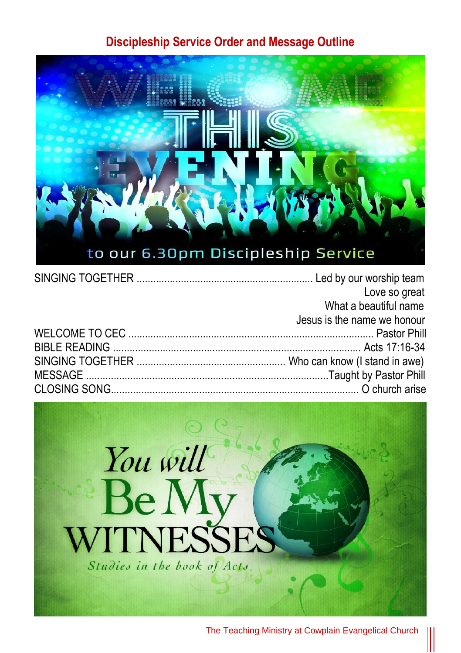## **Discipleship Service Order and Message Outline**



| Love so great               |
|-----------------------------|
| What a beautiful name       |
| Jesus is the name we honour |
|                             |
|                             |
|                             |
|                             |
|                             |



The Teaching Ministry at Cowplain Evangelical Church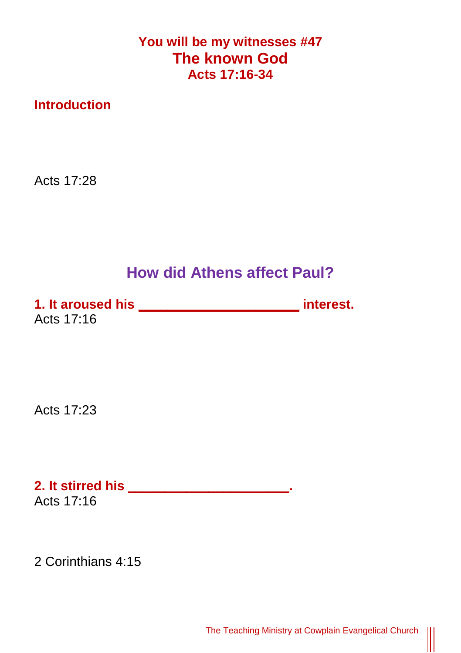**You will be my witnesses #47 The known God Acts 17:16-34**

**Introduction**

Acts 17:28

## **How did Athens affect Paul?**

**1. It aroused his \_\_\_\_\_\_\_\_\_\_\_\_\_\_\_\_\_\_\_\_\_\_ interest.** Acts 17:16

Acts 17:23

**2. It stirred his \_\_\_\_\_\_\_\_\_\_\_\_\_\_\_\_\_\_\_\_\_\_.** Acts 17:16

2 Corinthians 4:15

 $\begin{matrix} \vspace{0.1cm} \vspace{0.1cm} \vspace{0.1cm} \vspace{0.1cm} \vspace{0.1cm} \vspace{0.1cm} \vspace{0.1cm} \vspace{0.1cm} \vspace{0.1cm} \vspace{0.1cm} \vspace{0.1cm} \vspace{0.1cm} \vspace{0.1cm} \vspace{0.1cm} \vspace{0.1cm} \vspace{0.1cm} \vspace{0.1cm} \vspace{0.1cm} \vspace{0.1cm} \vspace{0.1cm} \vspace{0.1cm} \vspace{0.1cm} \vspace{0.1cm} \vspace{0.1cm$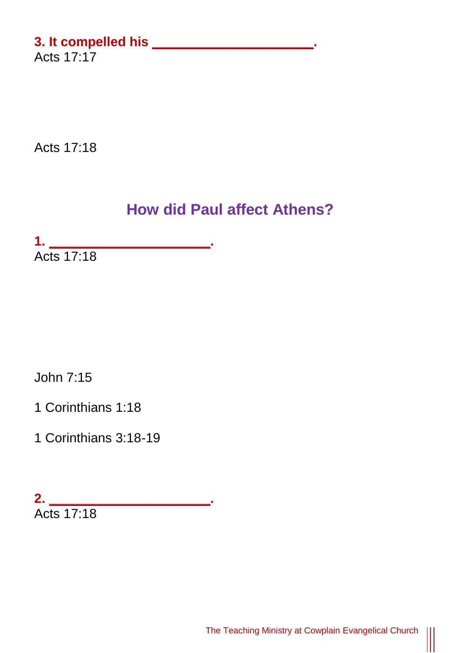## **3. It compelled his \_\_\_\_\_\_\_\_\_\_\_\_\_\_\_\_\_\_\_\_\_\_.** Acts 17:17

Acts 17:18

## **How did Paul affect Athens?**

**1. \_\_\_\_\_\_\_\_\_\_\_\_\_\_\_\_\_\_\_\_\_\_.** Acts 17:18

John 7:15

1 Corinthians 1:18

1 Corinthians 3:18-19

**2. \_\_\_\_\_\_\_\_\_\_\_\_\_\_\_\_\_\_\_\_\_\_.** Acts 17:18